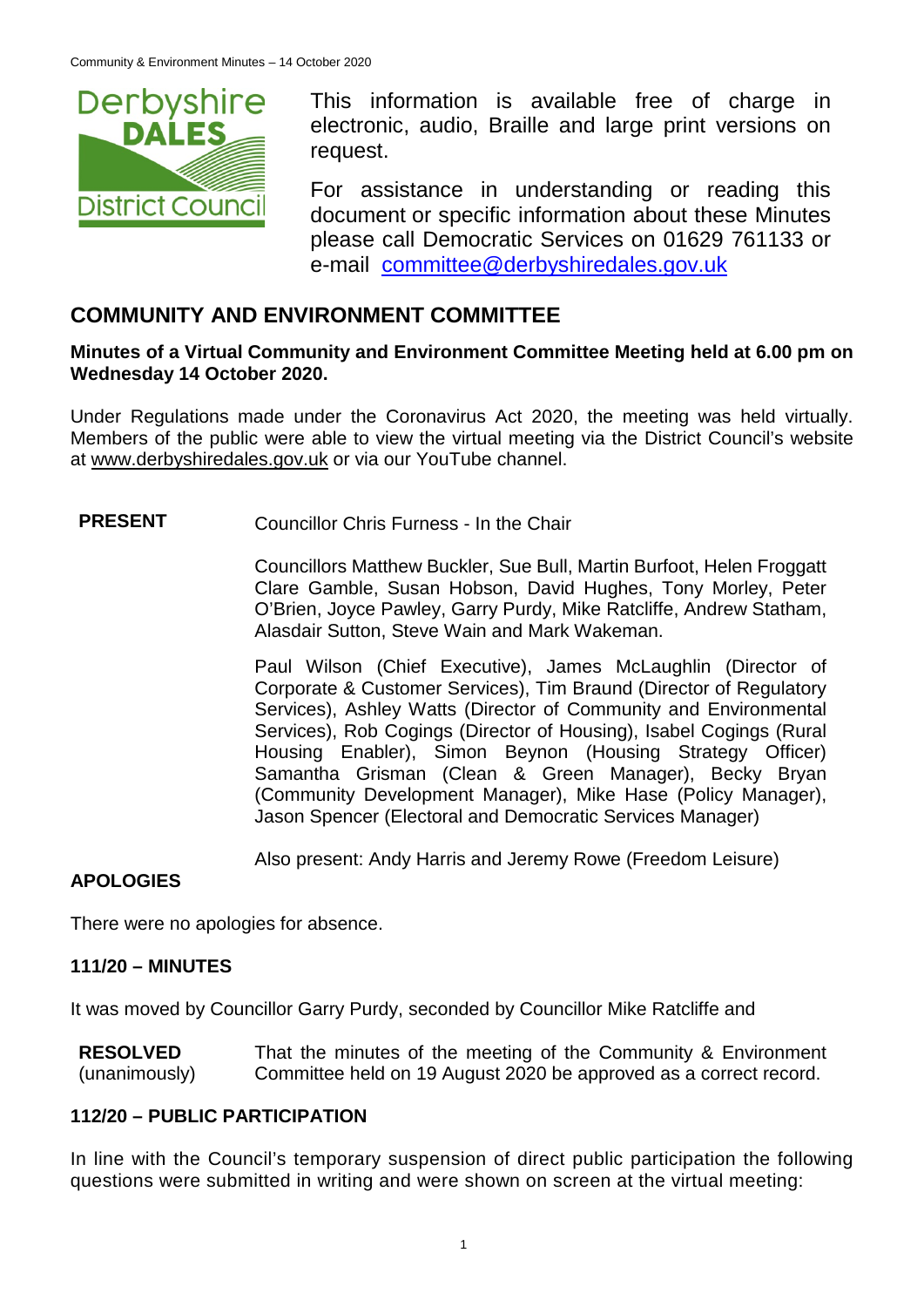

This information is available free of charge in electronic, audio, Braille and large print versions on request.

For assistance in understanding or reading this document or specific information about these Minutes please call Democratic Services on 01629 761133 or e-mail [committee@derbyshiredales.gov.uk](mailto:brian.evans@derbyshiredales.gov.uk)

# **COMMUNITY AND ENVIRONMENT COMMITTEE**

### **Minutes of a Virtual Community and Environment Committee Meeting held at 6.00 pm on Wednesday 14 October 2020.**

Under Regulations made under the Coronavirus Act 2020, the meeting was held virtually. Members of the public were able to view the virtual meeting via the District Council's website at [www.derbyshiredales.gov.uk](http://www.derbyshiredales.gov.uk/) or via our YouTube channel.

# **PRESENT** Councillor Chris Furness - In the Chair

Councillors Matthew Buckler, Sue Bull, Martin Burfoot, Helen Froggatt Clare Gamble, Susan Hobson, David Hughes, Tony Morley, Peter O'Brien, Joyce Pawley, Garry Purdy, Mike Ratcliffe, Andrew Statham, Alasdair Sutton, Steve Wain and Mark Wakeman.

Paul Wilson (Chief Executive), James McLaughlin (Director of Corporate & Customer Services), Tim Braund (Director of Regulatory Services), Ashley Watts (Director of Community and Environmental Services), Rob Cogings (Director of Housing), Isabel Cogings (Rural Housing Enabler), Simon Beynon (Housing Strategy Officer) Samantha Grisman (Clean & Green Manager), Becky Bryan (Community Development Manager), Mike Hase (Policy Manager), Jason Spencer (Electoral and Democratic Services Manager)

Also present: Andy Harris and Jeremy Rowe (Freedom Leisure)

## **APOLOGIES**

There were no apologies for absence.

## **111/20 – MINUTES**

It was moved by Councillor Garry Purdy, seconded by Councillor Mike Ratcliffe and

**RESOLVED** (unanimously) That the minutes of the meeting of the Community & Environment Committee held on 19 August 2020 be approved as a correct record.

## **112/20 – PUBLIC PARTICIPATION**

In line with the Council's temporary suspension of direct public participation the following questions were submitted in writing and were shown on screen at the virtual meeting: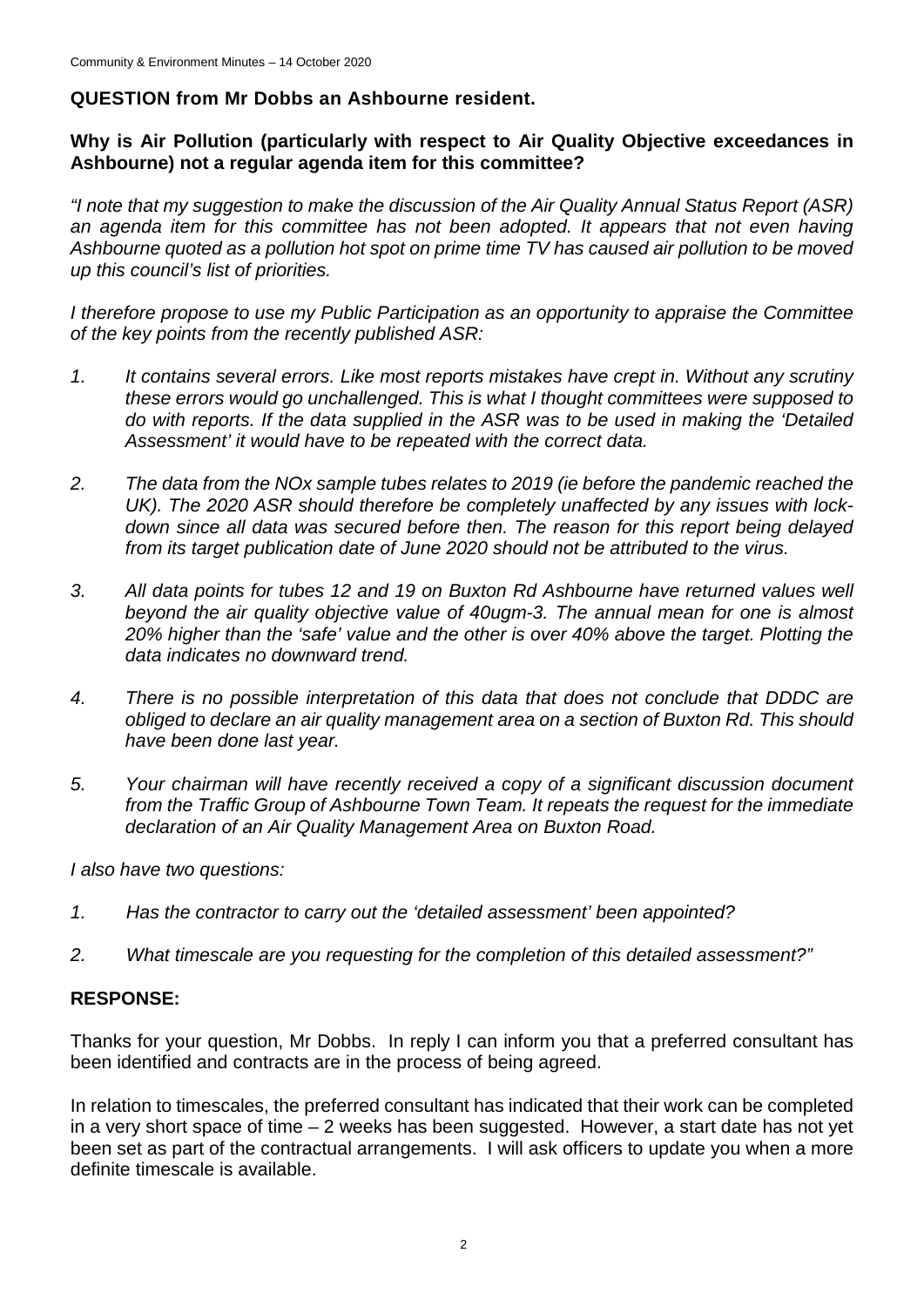## **QUESTION from Mr Dobbs an Ashbourne resident.**

### **Why is Air Pollution (particularly with respect to Air Quality Objective exceedances in Ashbourne) not a regular agenda item for this committee?**

*"I note that my suggestion to make the discussion of the Air Quality Annual Status Report (ASR)*  an agenda item for this committee has not been adopted. It appears that not even having *Ashbourne quoted as a pollution hot spot on prime time TV has caused air pollution to be moved up this council's list of priorities.*

*I therefore propose to use my Public Participation as an opportunity to appraise the Committee of the key points from the recently published ASR:*

- *1. It contains several errors. Like most reports mistakes have crept in. Without any scrutiny these errors would go unchallenged. This is what I thought committees were supposed to do with reports. If the data supplied in the ASR was to be used in making the 'Detailed Assessment' it would have to be repeated with the correct data.*
- *2. The data from the NOx sample tubes relates to 2019 (ie before the pandemic reached the UK). The 2020 ASR should therefore be completely unaffected by any issues with lockdown since all data was secured before then. The reason for this report being delayed from its target publication date of June 2020 should not be attributed to the virus.*
- *3. All data points for tubes 12 and 19 on Buxton Rd Ashbourne have returned values well beyond the air quality objective value of 40ugm-3. The annual mean for one is almost 20% higher than the 'safe' value and the other is over 40% above the target. Plotting the data indicates no downward trend.*
- *4. There is no possible interpretation of this data that does not conclude that DDDC are obliged to declare an air quality management area on a section of Buxton Rd. This should have been done last year.*
- *5. Your chairman will have recently received a copy of a significant discussion document from the Traffic Group of Ashbourne Town Team. It repeats the request for the immediate declaration of an Air Quality Management Area on Buxton Road.*

*I also have two questions:*

- *1. Has the contractor to carry out the 'detailed assessment' been appointed?*
- *2. What timescale are you requesting for the completion of this detailed assessment?"*

### **RESPONSE:**

Thanks for your question, Mr Dobbs. In reply I can inform you that a preferred consultant has been identified and contracts are in the process of being agreed.

In relation to timescales, the preferred consultant has indicated that their work can be completed in a very short space of time – 2 weeks has been suggested. However, a start date has not yet been set as part of the contractual arrangements. I will ask officers to update you when a more definite timescale is available.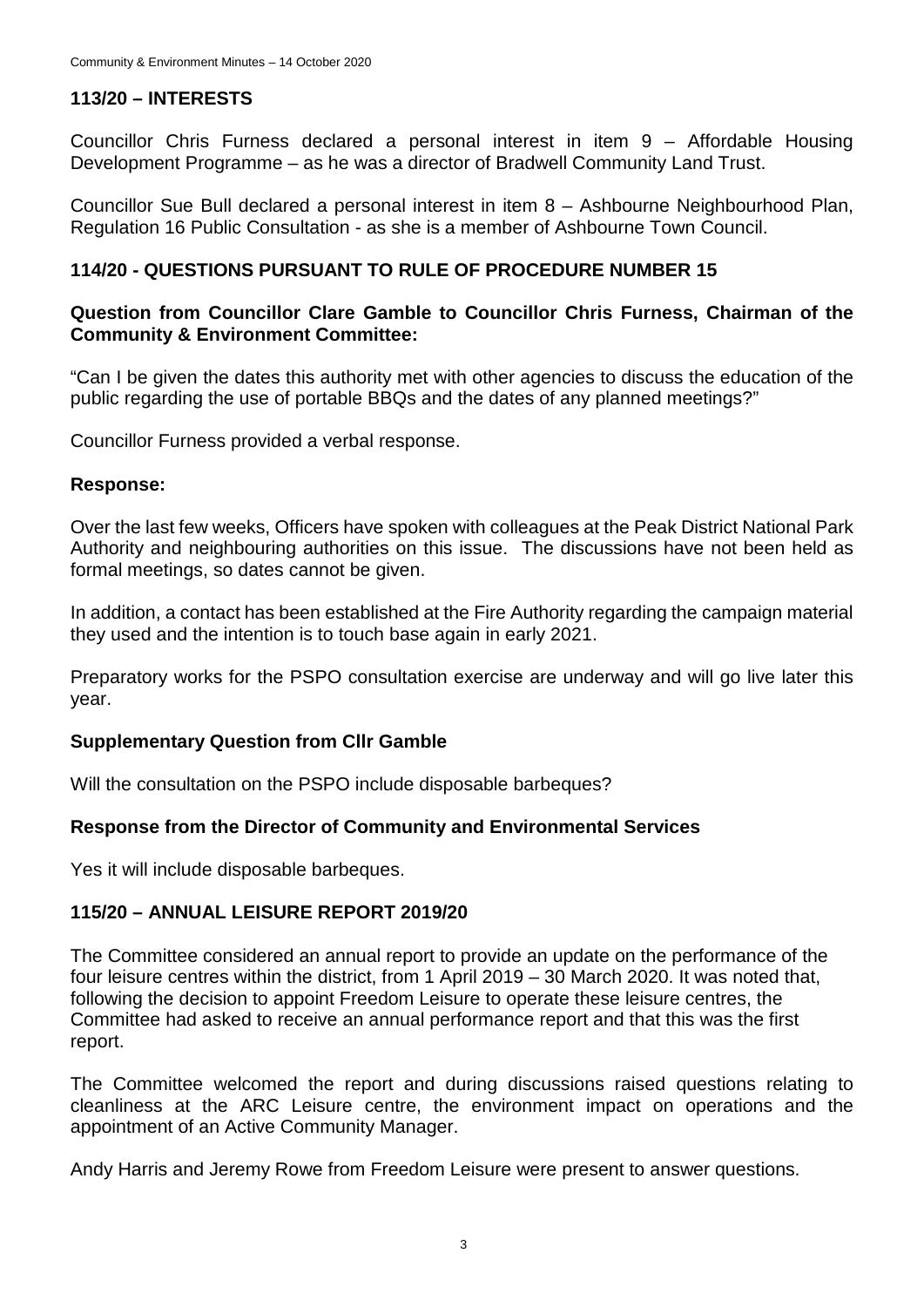## **113/20 – INTERESTS**

Councillor Chris Furness declared a personal interest in item 9 – Affordable Housing Development Programme – as he was a director of Bradwell Community Land Trust.

Councillor Sue Bull declared a personal interest in item 8 – Ashbourne Neighbourhood Plan, Regulation 16 Public Consultation - as she is a member of Ashbourne Town Council.

## **114/20 - QUESTIONS PURSUANT TO RULE OF PROCEDURE NUMBER 15**

### **Question from Councillor Clare Gamble to Councillor Chris Furness, Chairman of the Community & Environment Committee:**

"Can I be given the dates this authority met with other agencies to discuss the education of the public regarding the use of portable BBQs and the dates of any planned meetings?"

Councillor Furness provided a verbal response.

#### **Response:**

Over the last few weeks, Officers have spoken with colleagues at the Peak District National Park Authority and neighbouring authorities on this issue. The discussions have not been held as formal meetings, so dates cannot be given.

In addition, a contact has been established at the Fire Authority regarding the campaign material they used and the intention is to touch base again in early 2021.

Preparatory works for the PSPO consultation exercise are underway and will go live later this year.

### **Supplementary Question from Cllr Gamble**

Will the consultation on the PSPO include disposable barbeques?

### **Response from the Director of Community and Environmental Services**

Yes it will include disposable barbeques.

#### **115/20 – ANNUAL LEISURE REPORT 2019/20**

The Committee considered an annual report to provide an update on the performance of the four leisure centres within the district, from 1 April 2019 – 30 March 2020. It was noted that, following the decision to appoint Freedom Leisure to operate these leisure centres, the Committee had asked to receive an annual performance report and that this was the first report.

The Committee welcomed the report and during discussions raised questions relating to cleanliness at the ARC Leisure centre, the environment impact on operations and the appointment of an Active Community Manager.

Andy Harris and Jeremy Rowe from Freedom Leisure were present to answer questions.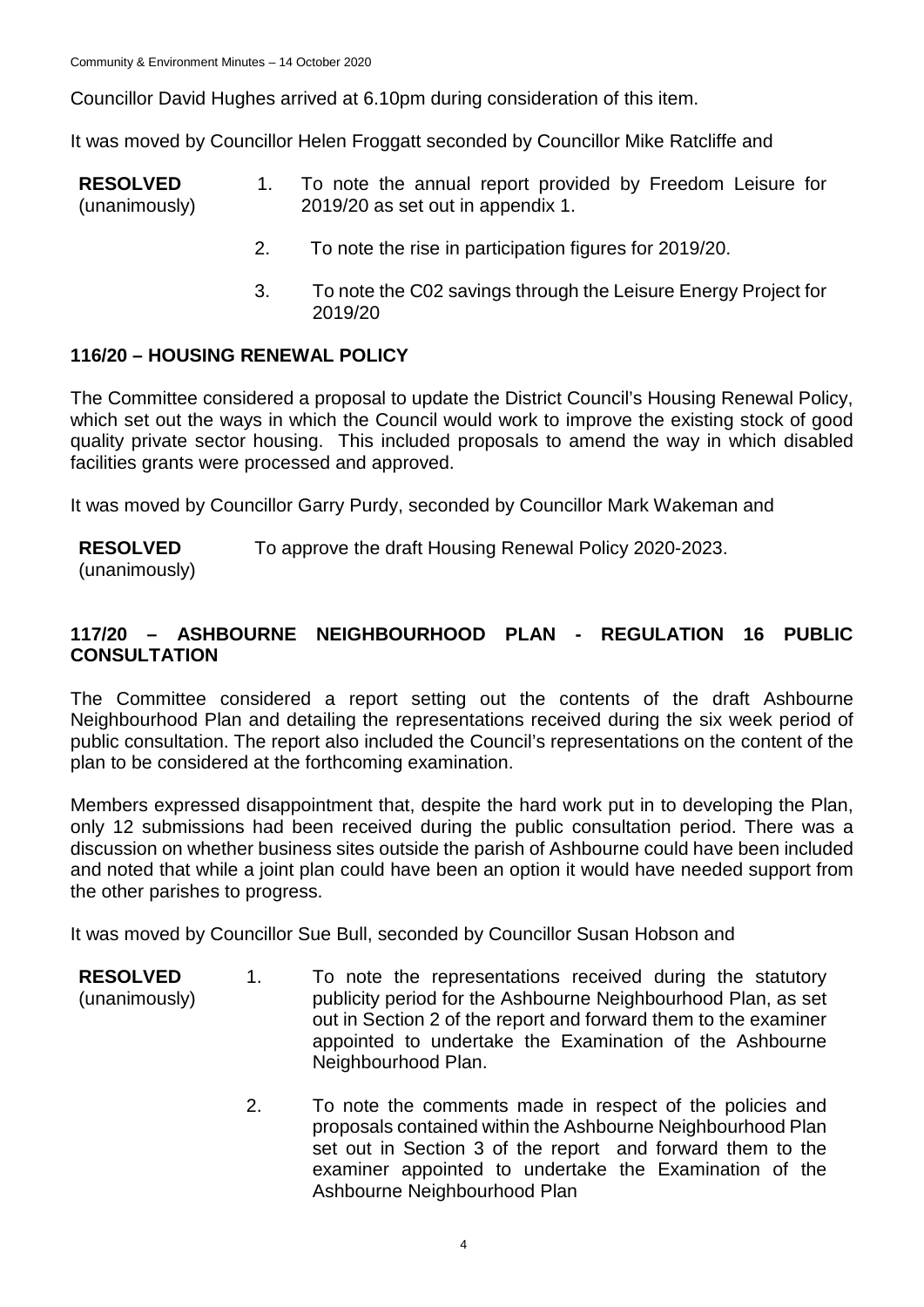Councillor David Hughes arrived at 6.10pm during consideration of this item.

It was moved by Councillor Helen Froggatt seconded by Councillor Mike Ratcliffe and

- **RESOLVED** (unanimously) 1. To note the annual report provided by Freedom Leisure for 2019/20 as set out in appendix 1.
	- 2. To note the rise in participation figures for 2019/20.
	- 3. To note the C02 savings through the Leisure Energy Project for 2019/20

## **116/20 – HOUSING RENEWAL POLICY**

The Committee considered a proposal to update the District Council's Housing Renewal Policy, which set out the ways in which the Council would work to improve the existing stock of good quality private sector housing. This included proposals to amend the way in which disabled facilities grants were processed and approved.

It was moved by Councillor Garry Purdy, seconded by Councillor Mark Wakeman and

**RESOLVED** To approve the draft Housing Renewal Policy 2020-2023.

(unanimously)

## **117/20 – ASHBOURNE NEIGHBOURHOOD PLAN - REGULATION 16 PUBLIC CONSULTATION**

The Committee considered a report setting out the contents of the draft Ashbourne Neighbourhood Plan and detailing the representations received during the six week period of public consultation. The report also included the Council's representations on the content of the plan to be considered at the forthcoming examination.

Members expressed disappointment that, despite the hard work put in to developing the Plan, only 12 submissions had been received during the public consultation period. There was a discussion on whether business sites outside the parish of Ashbourne could have been included and noted that while a joint plan could have been an option it would have needed support from the other parishes to progress.

It was moved by Councillor Sue Bull, seconded by Councillor Susan Hobson and

- **RESOLVED** (unanimously) 1. To note the representations received during the statutory publicity period for the Ashbourne Neighbourhood Plan, as set out in Section 2 of the report and forward them to the examiner appointed to undertake the Examination of the Ashbourne Neighbourhood Plan.
	- 2. To note the comments made in respect of the policies and proposals contained within the Ashbourne Neighbourhood Plan set out in Section 3 of the report and forward them to the examiner appointed to undertake the Examination of the Ashbourne Neighbourhood Plan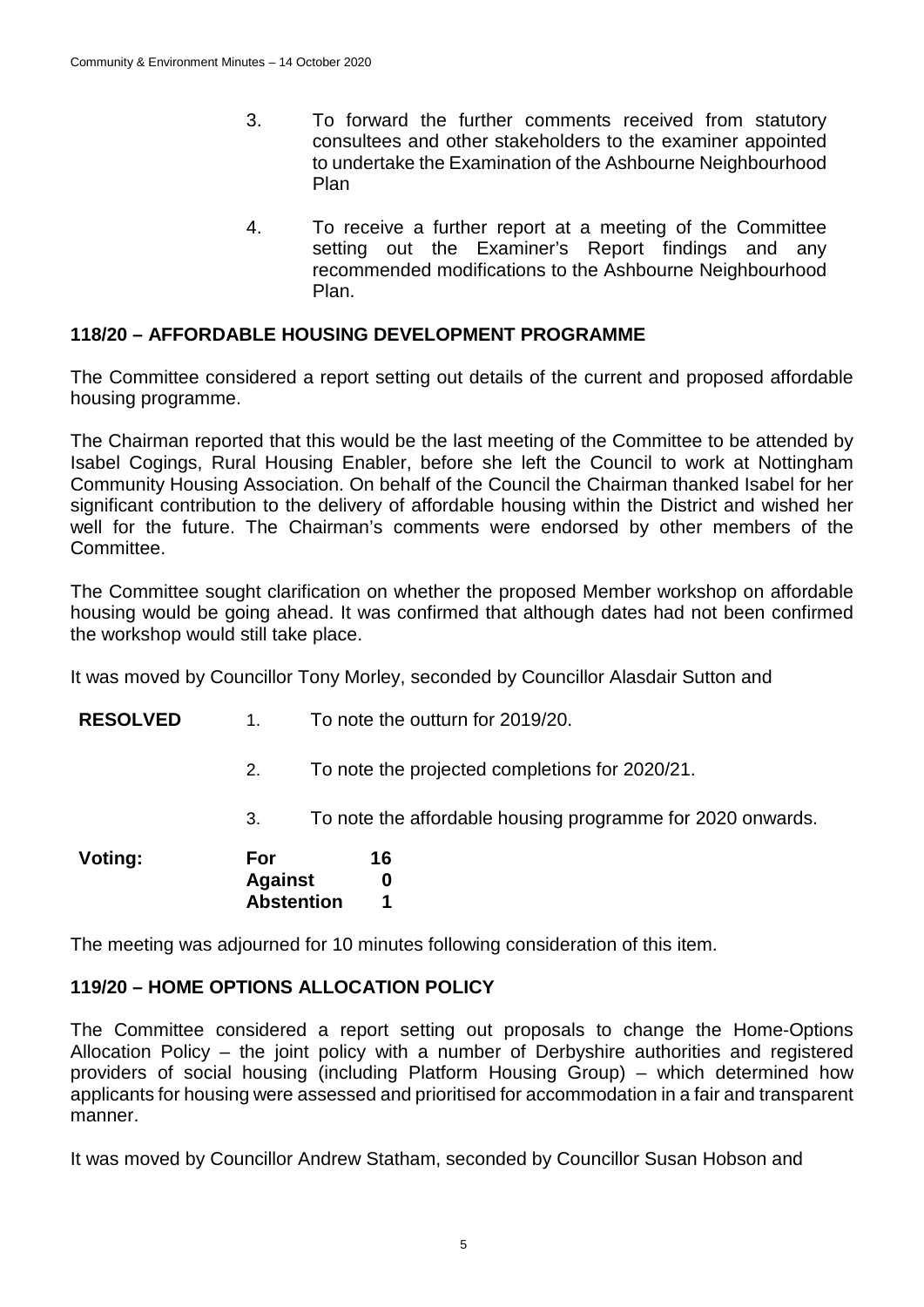- 3. To forward the further comments received from statutory consultees and other stakeholders to the examiner appointed to undertake the Examination of the Ashbourne Neighbourhood Plan
- 4. To receive a further report at a meeting of the Committee setting out the Examiner's Report findings and any recommended modifications to the Ashbourne Neighbourhood Plan.

### **118/20 – AFFORDABLE HOUSING DEVELOPMENT PROGRAMME**

The Committee considered a report setting out details of the current and proposed affordable housing programme.

The Chairman reported that this would be the last meeting of the Committee to be attended by Isabel Cogings, Rural Housing Enabler, before she left the Council to work at Nottingham Community Housing Association. On behalf of the Council the Chairman thanked Isabel for her significant contribution to the delivery of affordable housing within the District and wished her well for the future. The Chairman's comments were endorsed by other members of the Committee.

The Committee sought clarification on whether the proposed Member workshop on affordable housing would be going ahead. It was confirmed that although dates had not been confirmed the workshop would still take place.

It was moved by Councillor Tony Morley, seconded by Councillor Alasdair Sutton and

- **RESOLVED** 1. To note the outturn for 2019/20.
	- 2. To note the projected completions for 2020/21.
	- 3. To note the affordable housing programme for 2020 onwards.

| Voting: | <b>For</b>        | 16 |
|---------|-------------------|----|
|         | <b>Against</b>    | 0  |
|         | <b>Abstention</b> |    |

The meeting was adjourned for 10 minutes following consideration of this item.

### **119/20 – HOME OPTIONS ALLOCATION POLICY**

The Committee considered a report setting out proposals to change the Home-Options Allocation Policy – the joint policy with a number of Derbyshire authorities and registered providers of social housing (including Platform Housing Group) – which determined how applicants for housing were assessed and prioritised for accommodation in a fair and transparent manner.

It was moved by Councillor Andrew Statham, seconded by Councillor Susan Hobson and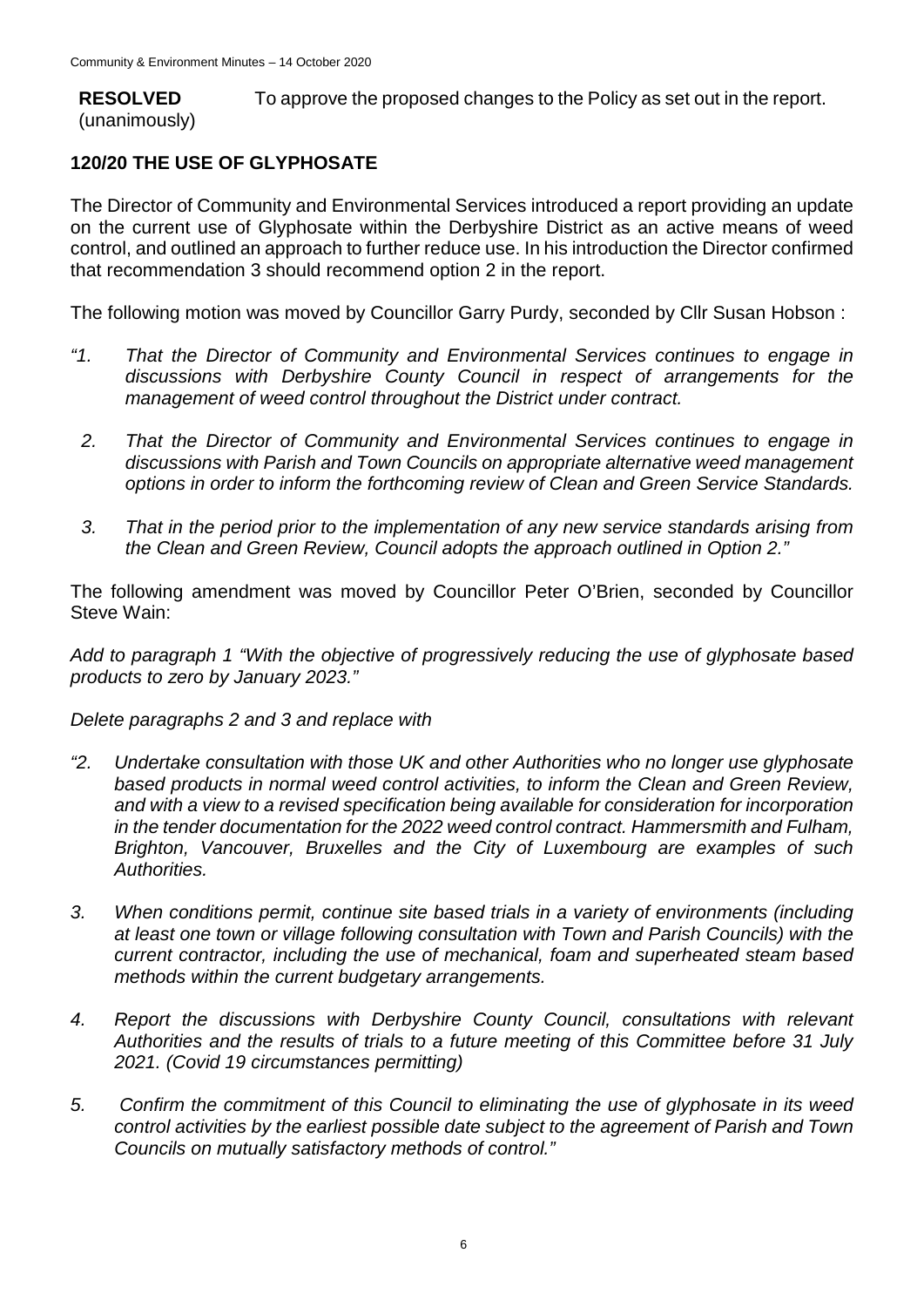**RESOLVED** (unanimously) To approve the proposed changes to the Policy as set out in the report.

## **120/20 THE USE OF GLYPHOSATE**

The Director of Community and Environmental Services introduced a report providing an update on the current use of Glyphosate within the Derbyshire District as an active means of weed control, and outlined an approach to further reduce use. In his introduction the Director confirmed that recommendation 3 should recommend option 2 in the report.

The following motion was moved by Councillor Garry Purdy, seconded by Cllr Susan Hobson :

- *"1. That the Director of Community and Environmental Services continues to engage in discussions with Derbyshire County Council in respect of arrangements for the management of weed control throughout the District under contract.*
- *2. That the Director of Community and Environmental Services continues to engage in discussions with Parish and Town Councils on appropriate alternative weed management options in order to inform the forthcoming review of Clean and Green Service Standards.*
- *3. That in the period prior to the implementation of any new service standards arising from the Clean and Green Review, Council adopts the approach outlined in Option 2."*

The following amendment was moved by Councillor Peter O'Brien, seconded by Councillor Steve Wain:

*Add to paragraph 1 "With the objective of progressively reducing the use of glyphosate based products to zero by January 2023."*

*Delete paragraphs 2 and 3 and replace with* 

- *"2. Undertake consultation with those UK and other Authorities who no longer use glyphosate based products in normal weed control activities, to inform the Clean and Green Review, and with a view to a revised specification being available for consideration for incorporation in the tender documentation for the 2022 weed control contract. Hammersmith and Fulham, Brighton, Vancouver, Bruxelles and the City of Luxembourg are examples of such Authorities.*
- *3. When conditions permit, continue site based trials in a variety of environments (including at least one town or village following consultation with Town and Parish Councils) with the current contractor, including the use of mechanical, foam and superheated steam based methods within the current budgetary arrangements.*
- *4. Report the discussions with Derbyshire County Council, consultations with relevant Authorities and the results of trials to a future meeting of this Committee before 31 July 2021. (Covid 19 circumstances permitting)*
- *5. Confirm the commitment of this Council to eliminating the use of glyphosate in its weed control activities by the earliest possible date subject to the agreement of Parish and Town Councils on mutually satisfactory methods of control."*